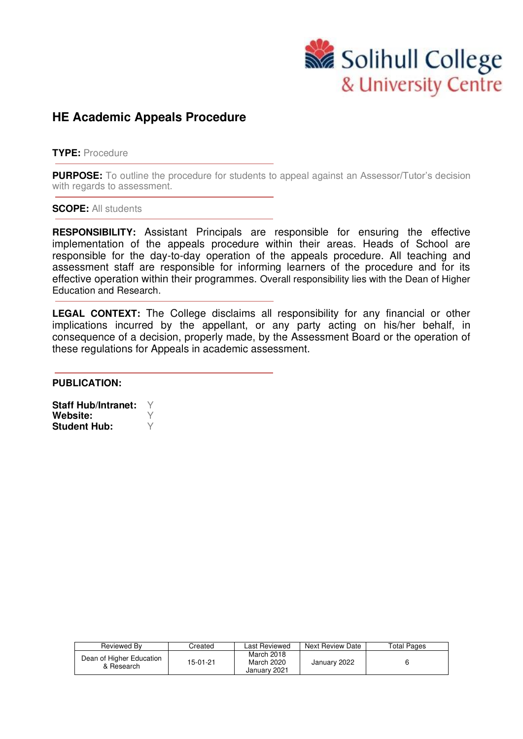

## **HE Academic Appeals Procedure**

**TYPE:** Procedure

**PURPOSE:** To outline the procedure for students to appeal against an Assessor/Tutor's decision with regards to assessment.

**SCOPE:** All students

**RESPONSIBILITY:** Assistant Principals are responsible for ensuring the effective implementation of the appeals procedure within their areas. Heads of School are responsible for the day-to-day operation of the appeals procedure. All teaching and assessment staff are responsible for informing learners of the procedure and for its effective operation within their programmes. Overall responsibility lies with the Dean of Higher Education and Research.

**LEGAL CONTEXT:** The College disclaims all responsibility for any financial or other implications incurred by the appellant, or any party acting on his/her behalf, in consequence of a decision, properly made, by the Assessment Board or the operation of these regulations for Appeals in academic assessment.

**PUBLICATION:** 

**Staff Hub/Intranet:** Y **Website:**  $\forall$ <br>**Student Hub:**  $\forall$ **Student Hub:** 

| Reviewed Bv                            | Created  | Last Reviewed                            | Next Review Date | <b>Total Pages</b> |
|----------------------------------------|----------|------------------------------------------|------------------|--------------------|
| Dean of Higher Education<br>& Research | 15-01-21 | March 2018<br>March 2020<br>January 2021 | January 2022     |                    |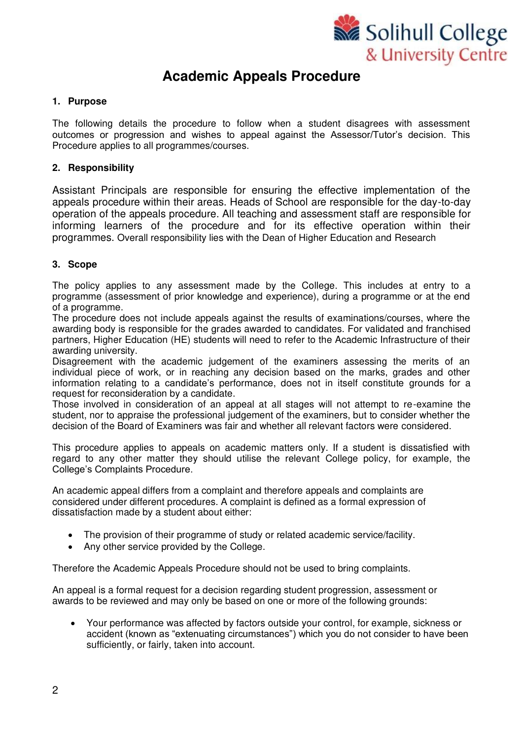

# **Academic Appeals Procedure**

## **1. Purpose**

The following details the procedure to follow when a student disagrees with assessment outcomes or progression and wishes to appeal against the Assessor/Tutor's decision. This Procedure applies to all programmes/courses.

## **2. Responsibility**

Assistant Principals are responsible for ensuring the effective implementation of the appeals procedure within their areas. Heads of School are responsible for the day-to-day operation of the appeals procedure. All teaching and assessment staff are responsible for informing learners of the procedure and for its effective operation within their programmes. Overall responsibility lies with the Dean of Higher Education and Research

## **3. Scope**

The policy applies to any assessment made by the College. This includes at entry to a programme (assessment of prior knowledge and experience), during a programme or at the end of a programme.

The procedure does not include appeals against the results of examinations/courses, where the awarding body is responsible for the grades awarded to candidates. For validated and franchised partners, Higher Education (HE) students will need to refer to the Academic Infrastructure of their awarding university.

Disagreement with the academic judgement of the examiners assessing the merits of an individual piece of work, or in reaching any decision based on the marks, grades and other information relating to a candidate's performance, does not in itself constitute grounds for a request for reconsideration by a candidate.

Those involved in consideration of an appeal at all stages will not attempt to re-examine the student, nor to appraise the professional judgement of the examiners, but to consider whether the decision of the Board of Examiners was fair and whether all relevant factors were considered.

This procedure applies to appeals on academic matters only. If a student is dissatisfied with regard to any other matter they should utilise the relevant College policy, for example, the College's Complaints Procedure.

An academic appeal differs from a complaint and therefore appeals and complaints are considered under different procedures. A complaint is defined as a formal expression of dissatisfaction made by a student about either:

- The provision of their programme of study or related academic service/facility.
- Any other service provided by the College.

Therefore the Academic Appeals Procedure should not be used to bring complaints.

An appeal is a formal request for a decision regarding student progression, assessment or awards to be reviewed and may only be based on one or more of the following grounds:

• Your performance was affected by factors outside your control, for example, sickness or accident (known as "extenuating circumstances") which you do not consider to have been sufficiently, or fairly, taken into account.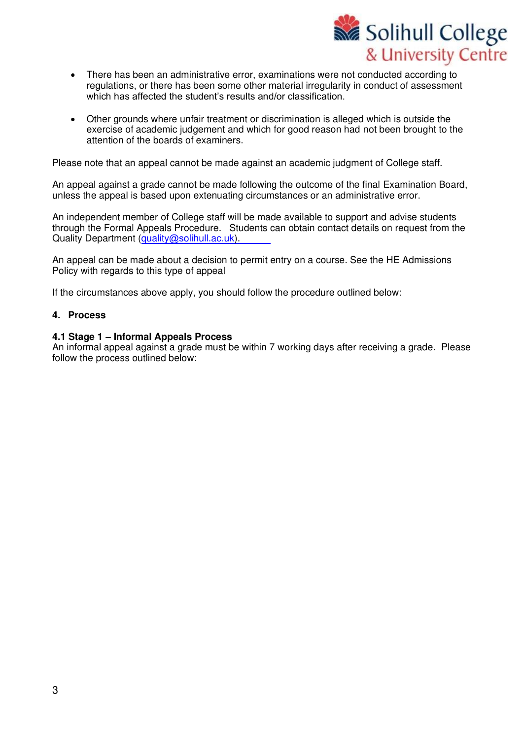

- There has been an administrative error, examinations were not conducted according to regulations, or there has been some other material irregularity in conduct of assessment which has affected the student's results and/or classification.
- Other grounds where unfair treatment or discrimination is alleged which is outside the exercise of academic judgement and which for good reason had not been brought to the attention of the boards of examiners.

Please note that an appeal cannot be made against an academic judgment of College staff.

An appeal against a grade cannot be made following the outcome of the final Examination Board, unless the appeal is based upon extenuating circumstances or an administrative error.

An independent member of College staff will be made available to support and advise students through the Formal Appeals Procedure. Students can obtain contact details on request from the Quality Department (quality@s[olihull.ac.uk\)](mailto:quality.mailbox@solihull.ac.uk).

An appeal can be made about a decision to permit entry on a course. See the HE Admissions Policy with regards to this type of appeal

If the circumstances above apply, you should follow the procedure outlined below:

#### **4. Process**

#### **4.1 Stage 1 – Informal Appeals Process**

An informal appeal against a grade must be within 7 working days after receiving a grade. Please follow the process outlined below: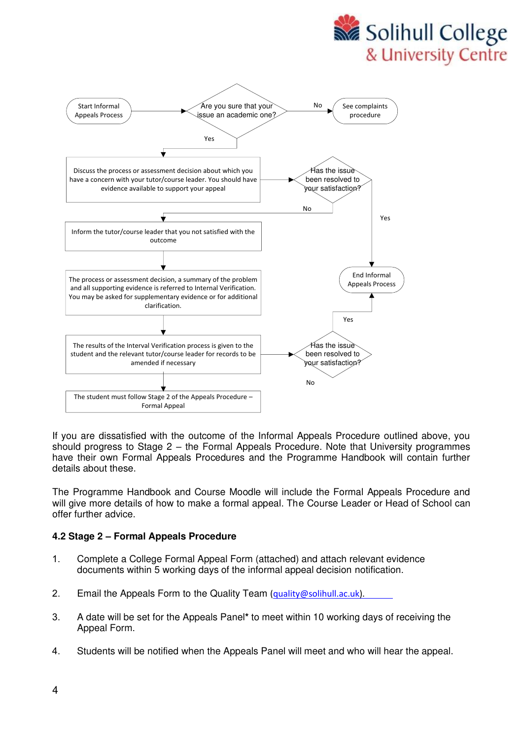



If you are dissatisfied with the outcome of the Informal Appeals Procedure outlined above, you should progress to Stage 2 – the Formal Appeals Procedure. Note that University programmes have their own Formal Appeals Procedures and the Programme Handbook will contain further details about these.

The Programme Handbook and Course Moodle will include the Formal Appeals Procedure and will give more details of how to make a formal appeal. The Course Leader or Head of School can offer further advice.

## **4.2 Stage 2 – Formal Appeals Procedure**

- 1. Complete a College Formal Appeal Form (attached) and attach relevant evidence documents within 5 working days of the informal appeal decision notification.
- 2. Email the Appeals Form to the Quality Team [\(quality@solihull.ac.uk\).](mailto:quality.mailbox@solihull.ac.uk)
- 3. A date will be set for the Appeals Panel**\*** to meet within 10 working days of receiving the Appeal Form.
- 4. Students will be notified when the Appeals Panel will meet and who will hear the appeal.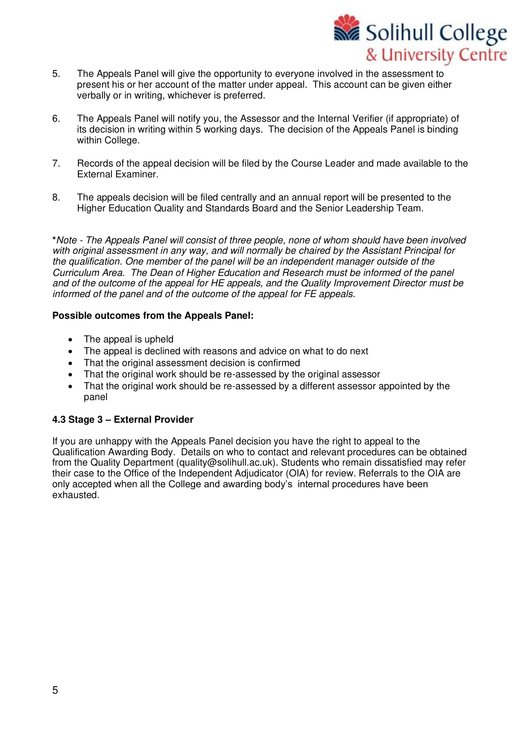

- 5. The Appeals Panel will give the opportunity to everyone involved in the assessment to present his or her account of the matter under appeal. This account can be given either verbally or in writing, whichever is preferred.
- 6. The Appeals Panel will notify you, the Assessor and the Internal Verifier (if appropriate) of its decision in writing within 5 working days. The decision of the Appeals Panel is binding within College.
- 7. Records of the appeal decision will be filed by the Course Leader and made available to the External Examiner.
- 8. The appeals decision will be filed centrally and an annual report will be presented to the Higher Education Quality and Standards Board and the Senior Leadership Team.

**\***Note - The Appeals Panel will consist of three people, none of whom should have been involved with original assessment in any way, and will normally be chaired by the Assistant Principal for the qualification. One member of the panel will be an independent manager outside of the Curriculum Area. The Dean of Higher Education and Research must be informed of the panel and of the outcome of the appeal for HE appeals, and the Quality Improvement Director must be informed of the panel and of the outcome of the appeal for FE appeals.

## **Possible outcomes from the Appeals Panel:**

- The appeal is upheld
- The appeal is declined with reasons and advice on what to do next
- That the original assessment decision is confirmed
- That the original work should be re-assessed by the original assessor
- That the original work should be re-assessed by a different assessor appointed by the panel

## **4.3 Stage 3 – External Provider**

If you are unhappy with the Appeals Panel decision you have the right to appeal to the Qualification Awarding Body. Details on who to contact and relevant procedures can be obtained from the Quality Department [\(quality@solihull.ac.uk\)](mailto:quality.mailbox@solihull.ac.uk). Students who remain dissatisfied may refer their case to the Office of the Independent Adjudicator (OIA) for review. Referrals to the OIA are only accepted when all the College and awarding body's internal procedures have been exhausted.